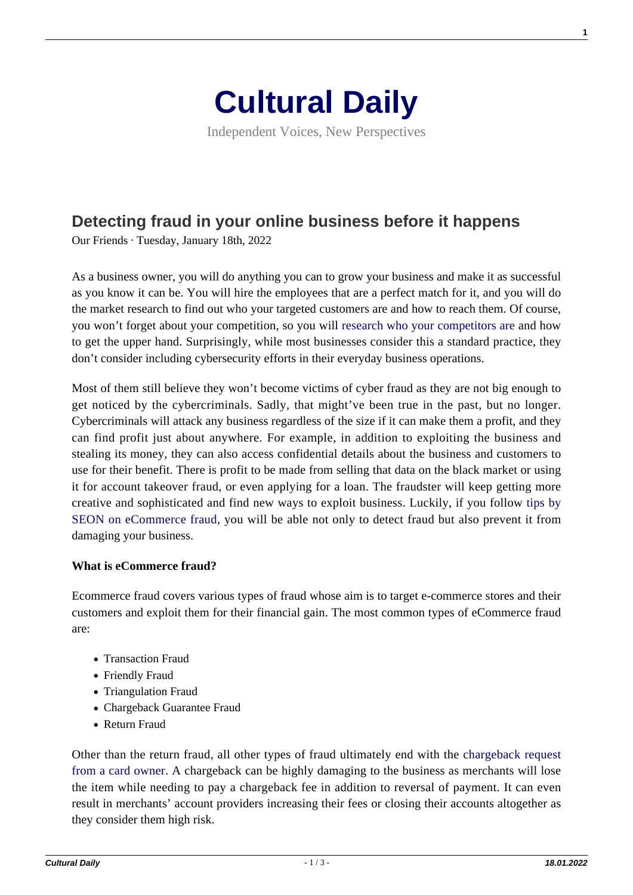

Independent Voices, New Perspectives

# **[Detecting fraud in your online business before it happens](https://culturaldaily.com/detecting-fraud-in-your-online-business-before-it-happens/)**

Our Friends · Tuesday, January 18th, 2022

As a business owner, you will do anything you can to grow your business and make it as successful as you know it can be. You will hire the employees that are a perfect match for it, and you will do the market research to find out who your targeted customers are and how to reach them. Of course, you won't forget about your competition, so you will [research who your competitors are](https://www.businessnewsdaily.com/15737-business-competitor-analysis.html) and how to get the upper hand. Surprisingly, while most businesses consider this a standard practice, they don't consider including cybersecurity efforts in their everyday business operations.

Most of them still believe they won't become victims of cyber fraud as they are not big enough to get noticed by the cybercriminals. Sadly, that might've been true in the past, but no longer. Cybercriminals will attack any business regardless of the size if it can make them a profit, and they can find profit just about anywhere. For example, in addition to exploiting the business and stealing its money, they can also access confidential details about the business and customers to use for their benefit. There is profit to be made from selling that data on the black market or using it for account takeover fraud, or even applying for a loan. The fraudster will keep getting more creative and sophisticated and find new ways to exploit business. Luckily, if you follow [tips by](https://seon.io/resources/ecommerce-fraud-detection-and-prevention/) [SEON on eCommerce fraud](https://seon.io/resources/ecommerce-fraud-detection-and-prevention/), you will be able not only to detect fraud but also prevent it from damaging your business.

## **What is eCommerce fraud?**

Ecommerce fraud covers various types of fraud whose aim is to target e-commerce stores and their customers and exploit them for their financial gain. The most common types of eCommerce fraud are:

- Transaction Fraud
- Friendly Fraud
- Triangulation Fraud
- Chargeback Guarantee Fraud
- Return Fraud

Other than the return fraud, all other types of fraud ultimately end with the [chargeback request](https://www.nerdwallet.com/article/small-business/chargeback) [from a card owner](https://www.nerdwallet.com/article/small-business/chargeback). A chargeback can be highly damaging to the business as merchants will lose the item while needing to pay a chargeback fee in addition to reversal of payment. It can even result in merchants' account providers increasing their fees or closing their accounts altogether as they consider them high risk.

**1**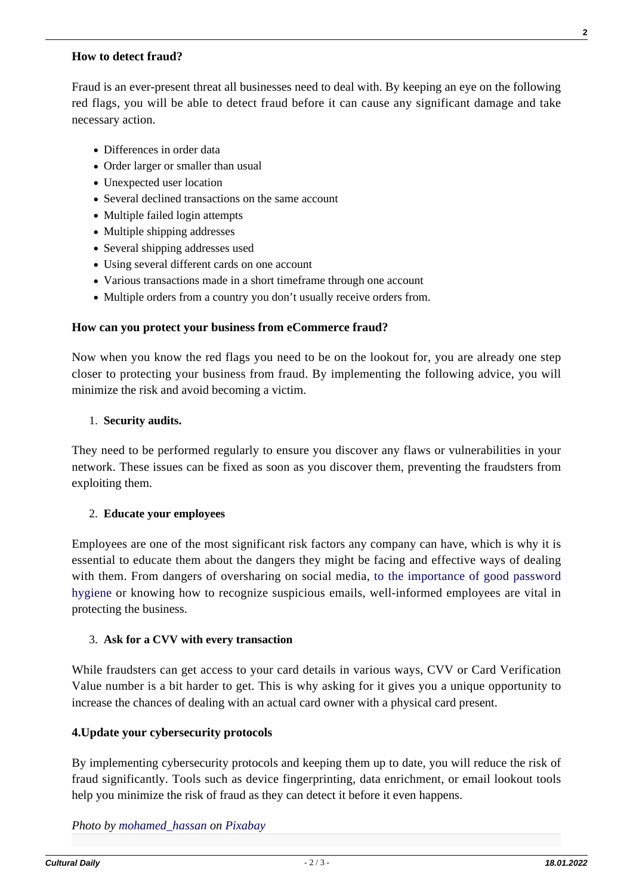### **How to detect fraud?**

Fraud is an ever-present threat all businesses need to deal with. By keeping an eye on the following red flags, you will be able to detect fraud before it can cause any significant damage and take necessary action.

- Differences in order data
- Order larger or smaller than usual
- Unexpected user location
- Several declined transactions on the same account
- Multiple failed login attempts
- Multiple shipping addresses
- Several shipping addresses used
- Using several different cards on one account
- Various transactions made in a short timeframe through one account
- Multiple orders from a country you don't usually receive orders from.

### **How can you protect your business from eCommerce fraud?**

Now when you know the red flags you need to be on the lookout for, you are already one step closer to protecting your business from fraud. By implementing the following advice, you will minimize the risk and avoid becoming a victim.

### 1. **Security audits.**

They need to be performed regularly to ensure you discover any flaws or vulnerabilities in your network. These issues can be fixed as soon as you discover them, preventing the fraudsters from exploiting them.

### 2. **Educate your employees**

Employees are one of the most significant risk factors any company can have, which is why it is essential to educate them about the dangers they might be facing and effective ways of dealing with them. From dangers of oversharing on social media, [to the importance of good password](https://culturaldaily.com/tips-selecting-managing-passwords-securely-safe/) [hygiene](https://culturaldaily.com/tips-selecting-managing-passwords-securely-safe/) or knowing how to recognize suspicious emails, well-informed employees are vital in protecting the business.

### 3. **Ask for a CVV with every transaction**

While fraudsters can get access to your card details in various ways, CVV or Card Verification Value number is a bit harder to get. This is why asking for it gives you a unique opportunity to increase the chances of dealing with an actual card owner with a physical card present.

### **4.Update your cybersecurity protocols**

By implementing cybersecurity protocols and keeping them up to date, you will reduce the risk of fraud significantly. Tools such as device fingerprinting, data enrichment, or email lookout tools help you minimize the risk of fraud as they can detect it before it even happens.

*Photo by [mohamed\\_hassan](https://pixabay.com/users/mohamed_hassan-5229782/) on [Pixabay](https://pixabay.com/illustrations/fraud-prevention-scam-corruption-3188092/)*